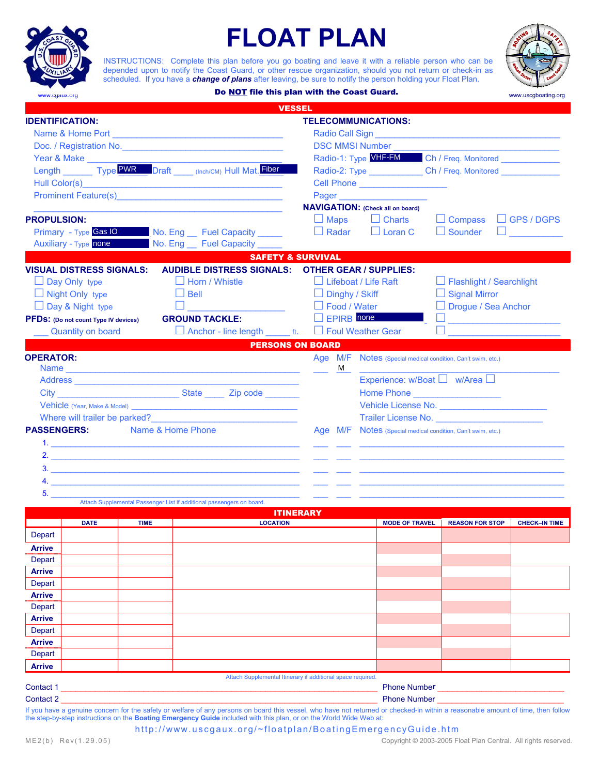# **FLOAT PLAN**

INSTRUCTIONS: Complete this plan before you go boating and leave it with a reliable person who can be depended upon to notify the Coast Guard, or other rescue organization, should you not return or check-in as scheduled. If you have a *change of plans* after leaving, be sure to notify the person holding your Float Plan.



**Do NOT file this plan with the Coast Guard.** With the Coast of the Coast of the Coast of the Coast of the Coast of the Coast of the Coast of the Coast of the Coast of the Coast of the Coast of the Coast of the Coast of th

| <b>IDENTIFICATION:</b> |                                             |             | <b>VESSEL</b>                                                         |                                                                                                                                                                                                                                                                                            |  |                                                             |                            |                      |  |
|------------------------|---------------------------------------------|-------------|-----------------------------------------------------------------------|--------------------------------------------------------------------------------------------------------------------------------------------------------------------------------------------------------------------------------------------------------------------------------------------|--|-------------------------------------------------------------|----------------------------|----------------------|--|
|                        |                                             |             |                                                                       | <b>TELECOMMUNICATIONS:</b>                                                                                                                                                                                                                                                                 |  |                                                             |                            |                      |  |
|                        |                                             |             |                                                                       |                                                                                                                                                                                                                                                                                            |  |                                                             |                            |                      |  |
|                        |                                             |             | Doc. / Registration No. <b>Marshall</b> Doc. / Registration No.       | <b>DSC MMSI Number and Service Services</b> Services and Services Services and Services Services and Services Services<br>Radio-1: Type VHF-FM Ch / Freq. Monitored ______________<br>Radio-2: Type _______________Ch / Freq. Monitored ______________<br>Cell Phone _____________________ |  |                                                             |                            |                      |  |
|                        | Year & Make                                 |             |                                                                       |                                                                                                                                                                                                                                                                                            |  |                                                             |                            |                      |  |
|                        |                                             |             | Length ________ Type PWR Draft _____ (Inch/CM) Hull Mat. Fiber        |                                                                                                                                                                                                                                                                                            |  |                                                             |                            |                      |  |
|                        |                                             |             |                                                                       |                                                                                                                                                                                                                                                                                            |  |                                                             |                            |                      |  |
|                        |                                             |             | <b>Prominent Feature(s) Example 2018</b>                              |                                                                                                                                                                                                                                                                                            |  |                                                             |                            |                      |  |
|                        |                                             |             |                                                                       |                                                                                                                                                                                                                                                                                            |  | <b>NAVIGATION:</b> (Check all on board)                     |                            |                      |  |
| <b>PROPULSION:</b>     |                                             |             |                                                                       | $\Box$ Maps                                                                                                                                                                                                                                                                                |  | $\Box$ Charts                                               | $\Box$ Compass             | $\Box$ GPS / DGPS    |  |
|                        | <b>Primary</b> - Type <b>Gas IO</b>         |             | No. Eng Fuel Capacity _____                                           | $\Box$ Radar                                                                                                                                                                                                                                                                               |  | $\Box$ Loran C                                              | $\Box$ Sounder             |                      |  |
|                        | <b>Auxiliary - Type none</b>                |             | No. Eng __ Fuel Capacity _____                                        |                                                                                                                                                                                                                                                                                            |  |                                                             |                            |                      |  |
|                        |                                             |             | <b>SAFETY &amp; SURVIVAL</b>                                          |                                                                                                                                                                                                                                                                                            |  |                                                             |                            |                      |  |
|                        | <b>VISUAL DISTRESS SIGNALS:</b>             |             | <b>AUDIBLE DISTRESS SIGNALS: OTHER GEAR / SUPPLIES:</b>               |                                                                                                                                                                                                                                                                                            |  |                                                             |                            |                      |  |
| $\Box$ Day Only type   |                                             |             | $\Box$ Horn / Whistle                                                 | $\Box$ Lifeboat / Life Raft                                                                                                                                                                                                                                                                |  |                                                             | □ Flashlight / Searchlight |                      |  |
|                        | $\Box$ Night Only type                      |             | $\Box$ Bell                                                           | $\Box$ Dinghy / Skiff                                                                                                                                                                                                                                                                      |  |                                                             | $\Box$ Signal Mirror       |                      |  |
|                        | $\Box$ Day & Night type                     |             | $\Box$                                                                | □ Food / Water                                                                                                                                                                                                                                                                             |  |                                                             | $\Box$ Drogue / Sea Anchor |                      |  |
|                        | <b>PFDS:</b> (Do not count Type IV devices) |             | <b>GROUND TACKLE:</b>                                                 | $\Box$ EPIRB none                                                                                                                                                                                                                                                                          |  |                                                             |                            |                      |  |
|                        | <b>Quantity on board</b>                    |             | $\Box$ Anchor - line length $\Box$ ft.                                | Foul Weather Gear                                                                                                                                                                                                                                                                          |  |                                                             |                            |                      |  |
|                        |                                             |             | <b>PERSONS ON BOARD</b>                                               |                                                                                                                                                                                                                                                                                            |  |                                                             |                            |                      |  |
| <b>OPERATOR:</b>       |                                             |             |                                                                       |                                                                                                                                                                                                                                                                                            |  | Age M/F Notes (Special medical condition, Can't swim, etc.) |                            |                      |  |
|                        |                                             |             |                                                                       | м                                                                                                                                                                                                                                                                                          |  |                                                             |                            |                      |  |
|                        |                                             |             |                                                                       |                                                                                                                                                                                                                                                                                            |  | Experience: $w/B$ oat $\Box$ $w/A$ rea $\Box$               |                            |                      |  |
|                        |                                             |             |                                                                       |                                                                                                                                                                                                                                                                                            |  | Home Phone <b>Example 2019</b>                              |                            |                      |  |
|                        |                                             |             |                                                                       |                                                                                                                                                                                                                                                                                            |  |                                                             |                            |                      |  |
|                        |                                             |             | Where will trailer be parked?<br><u> </u>                             |                                                                                                                                                                                                                                                                                            |  |                                                             |                            |                      |  |
|                        |                                             |             |                                                                       |                                                                                                                                                                                                                                                                                            |  |                                                             |                            |                      |  |
|                        |                                             |             | Name & Home Phone                                                     |                                                                                                                                                                                                                                                                                            |  |                                                             |                            |                      |  |
| <b>PASSENGERS:</b>     |                                             |             |                                                                       |                                                                                                                                                                                                                                                                                            |  | Age M/F Notes (Special medical condition, Can't swim, etc.) |                            |                      |  |
|                        |                                             |             |                                                                       |                                                                                                                                                                                                                                                                                            |  |                                                             |                            |                      |  |
|                        |                                             |             | 2.                                                                    |                                                                                                                                                                                                                                                                                            |  |                                                             |                            |                      |  |
|                        |                                             |             |                                                                       |                                                                                                                                                                                                                                                                                            |  |                                                             |                            |                      |  |
|                        |                                             |             |                                                                       |                                                                                                                                                                                                                                                                                            |  |                                                             |                            |                      |  |
| 5.                     |                                             |             | Attach Supplemental Passenger List if additional passengers on board. |                                                                                                                                                                                                                                                                                            |  |                                                             |                            |                      |  |
|                        |                                             |             |                                                                       | <b>ITINERARY</b>                                                                                                                                                                                                                                                                           |  |                                                             |                            |                      |  |
|                        | <b>DATE</b>                                 | <b>TIME</b> | <b>LOCATION</b>                                                       |                                                                                                                                                                                                                                                                                            |  | <b>MODE OF TRAVEL</b>                                       | <b>REASON FOR STOP</b>     |                      |  |
| Depart                 |                                             |             |                                                                       |                                                                                                                                                                                                                                                                                            |  |                                                             |                            |                      |  |
| <b>Arrive</b>          |                                             |             |                                                                       |                                                                                                                                                                                                                                                                                            |  |                                                             |                            |                      |  |
| Depart                 |                                             |             |                                                                       |                                                                                                                                                                                                                                                                                            |  |                                                             |                            |                      |  |
| <b>Arrive</b>          |                                             |             |                                                                       |                                                                                                                                                                                                                                                                                            |  |                                                             |                            |                      |  |
| Depart                 |                                             |             |                                                                       |                                                                                                                                                                                                                                                                                            |  |                                                             |                            |                      |  |
| Arrive                 |                                             |             |                                                                       |                                                                                                                                                                                                                                                                                            |  |                                                             |                            |                      |  |
| Depart                 |                                             |             |                                                                       |                                                                                                                                                                                                                                                                                            |  |                                                             |                            |                      |  |
| <b>Arrive</b>          |                                             |             |                                                                       |                                                                                                                                                                                                                                                                                            |  |                                                             |                            |                      |  |
| Depart                 |                                             |             |                                                                       |                                                                                                                                                                                                                                                                                            |  |                                                             |                            |                      |  |
| Arrive                 |                                             |             |                                                                       |                                                                                                                                                                                                                                                                                            |  |                                                             |                            |                      |  |
| Depart                 |                                             |             |                                                                       |                                                                                                                                                                                                                                                                                            |  |                                                             |                            |                      |  |
| <b>Arrive</b>          |                                             |             |                                                                       |                                                                                                                                                                                                                                                                                            |  |                                                             |                            |                      |  |
|                        |                                             |             | Attach Supplemental Itinerary if additional space required.           |                                                                                                                                                                                                                                                                                            |  |                                                             |                            |                      |  |
| Contact 1<br>Contact 2 |                                             |             |                                                                       |                                                                                                                                                                                                                                                                                            |  |                                                             | <b>Phone Number</b>        | <b>CHECK-IN TIME</b> |  |

http://www.uscgaux.org/~floatplan/BoatingEmergencyGuide.htm